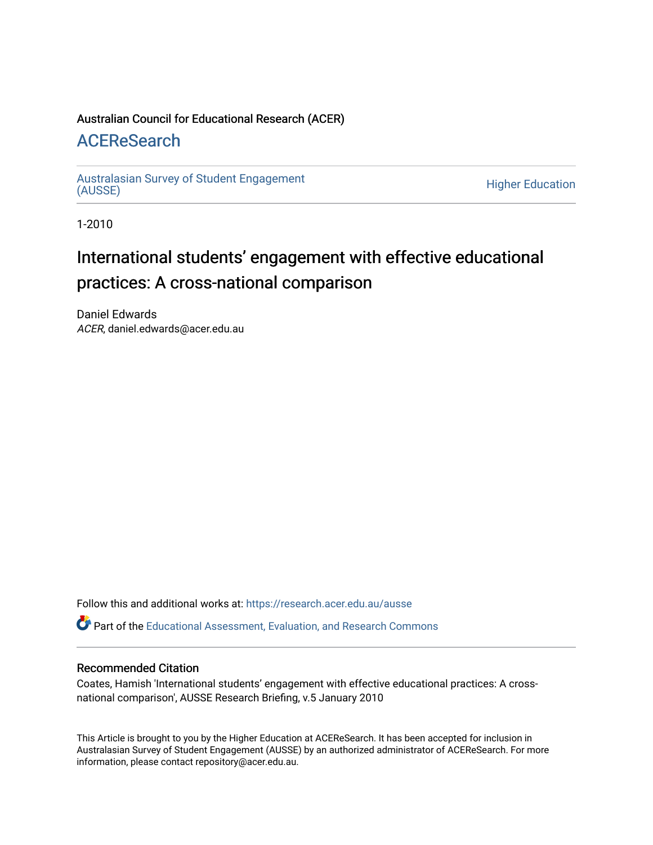#### Australian Council for Educational Research (ACER)

#### [ACEReSearch](https://research.acer.edu.au/)

[Australasian Survey of Student Engagement](https://research.acer.edu.au/ausse)  [\(AUSSE\)](https://research.acer.edu.au/ausse) [Higher Education](https://research.acer.edu.au/highereducation_research) 

1-2010

### International students' engagement with effective educational practices: A cross-national comparison

Daniel Edwards ACER, daniel.edwards@acer.edu.au

Follow this and additional works at: [https://research.acer.edu.au/ausse](https://research.acer.edu.au/ausse?utm_source=research.acer.edu.au%2Fausse%2F7&utm_medium=PDF&utm_campaign=PDFCoverPages) 

Part of the [Educational Assessment, Evaluation, and Research Commons](http://network.bepress.com/hgg/discipline/796?utm_source=research.acer.edu.au%2Fausse%2F7&utm_medium=PDF&utm_campaign=PDFCoverPages)

#### Recommended Citation

Coates, Hamish 'International students' engagement with effective educational practices: A crossnational comparison', AUSSE Research Briefing, v.5 January 2010

This Article is brought to you by the Higher Education at ACEReSearch. It has been accepted for inclusion in Australasian Survey of Student Engagement (AUSSE) by an authorized administrator of ACEReSearch. For more information, please contact repository@acer.edu.au.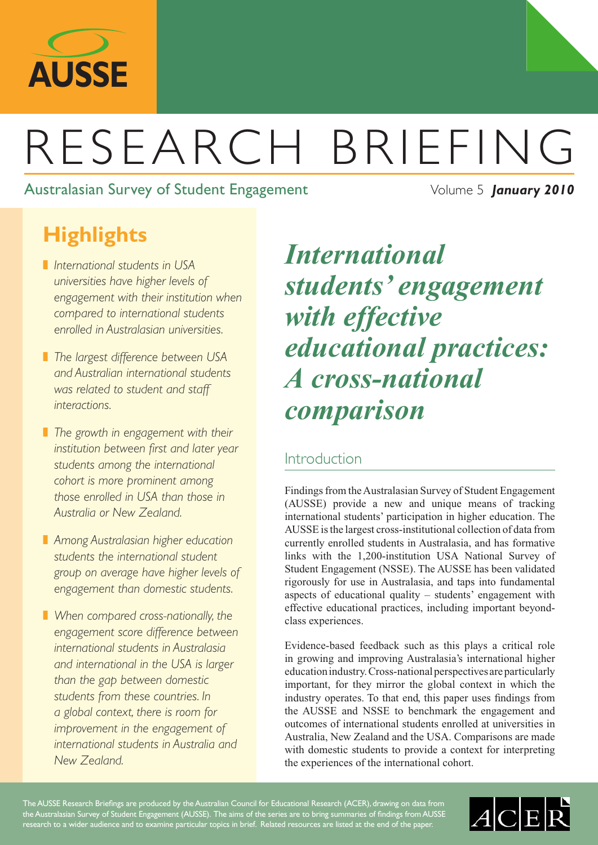

# RESEARCH BRIEFING

Australasian Survey of Student Engagement Volume 5 *January* 2010

# **Highlights**

- ❚ *International students in USA universities have higher levels of engagement with their institution when compared to international students enrolled in Australasian universities.*
- ❚ *The largest difference between USA and Australian international students was related to student and staff interactions.*
- ❚ *The growth in engagement with their institution between first and later year students among the international cohort is more prominent among those enrolled in USA than those in Australia or New Zealand.*
- ❚ *Among Australasian higher education students the international student group on average have higher levels of engagement than domestic students.*
- ❚ *When compared cross-nationally, the engagement score difference between international students in Australasia and international in the USA is larger than the gap between domestic students from these countries. In a global context, there is room for improvement in the engagement of international students in Australia and New Zealand.*

# *International students' engagement with effective educational practices: A cross-national comparison*

#### Introduction

Findings from the Australasian Survey of Student Engagement (AUSSE) provide a new and unique means of tracking international students' participation in higher education. The AUSSE is the largest cross-institutional collection of data from currently enrolled students in Australasia, and has formative links with the 1,200-institution USA National Survey of Student Engagement (NSSE). The AUSSE has been validated rigorously for use in Australasia, and taps into fundamental aspects of educational quality – students' engagement with effective educational practices, including important beyondclass experiences.

Evidence-based feedback such as this plays a critical role in growing and improving Australasia's international higher education industry. Cross-national perspectives are particularly important, for they mirror the global context in which the industry operates. To that end, this paper uses findings from the AUSSE and NSSE to benchmark the engagement and outcomes of international students enrolled at universities in Australia, New Zealand and the USA. Comparisons are made with domestic students to provide a context for interpreting the experiences of the international cohort.

The AUSSE Research Briefings are produced by the Australian Council for Educational Research (ACER), drawing on data from the Australasian Survey of Student Engagement (AUSSE). The aims of the series are to bring summaries of findings from AUSSE research to a wider audience and to examine particular topics in brief. Related resources are listed at the end of the paper.

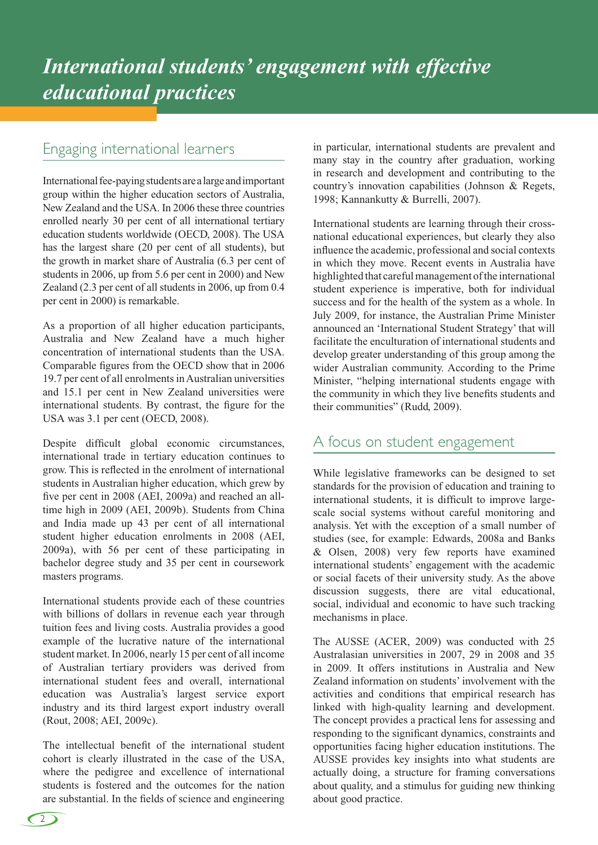#### Engaging international learners

International fee-paying students are a large and important group within the higher education sectors of Australia, New Zealand and the USA. In 2006 these three countries enrolled nearly 30 per cent of all international tertiary education students worldwide (OECD, 2008). The USA has the largest share (20 per cent of all students), but the growth in market share of Australia (6.3 per cent of students in 2006, up from 5.6 per cent in 2000) and New Zealand (2.3 per cent of all students in 2006, up from 0.4 per cent in 2000) is remarkable.

As a proportion of all higher education participants, Australia and New Zealand have a much higher concentration of international students than the USA. Comparable figures from the OECD show that in 2006 19.7 per cent of all enrolments in Australian universities and 15.1 per cent in New Zealand universities were international students. By contrast, the figure for the USA was 3.1 per cent (OECD, 2008).

Despite difficult global economic circumstances, international trade in tertiary education continues to grow. This is reflected in the enrolment of international students in Australian higher education, which grew by five per cent in 2008 (AEI, 2009a) and reached an alltime high in 2009 (AEI, 2009b). Students from China and India made up 43 per cent of all international student higher education enrolments in 2008 (AEI, 2009a), with 56 per cent of these participating in bachelor degree study and 35 per cent in coursework masters programs.

International students provide each of these countries with billions of dollars in revenue each year through tuition fees and living costs. Australia provides a good example of the lucrative nature of the international student market. In 2006, nearly 15 per cent of all income of Australian tertiary providers was derived from international student fees and overall, international education was Australia's largest service export industry and its third largest export industry overall (Rout, 2008; AEI, 2009c).

The intellectual benefit of the international student cohort is clearly illustrated in the case of the USA, where the pedigree and excellence of international students is fostered and the outcomes for the nation are substantial. In the fields of science and engineering in particular, international students are prevalent and many stay in the country after graduation, working in research and development and contributing to the country's innovation capabilities (Johnson & Regets, 1998; Kannankutty & Burrelli, 2007).

International students are learning through their crossnational educational experiences, but clearly they also influence the academic, professional and social contexts in which they move. Recent events in Australia have highlighted that careful management of the international student experience is imperative, both for individual success and for the health of the system as a whole. In July 2009, for instance, the Australian Prime Minister announced an 'International Student Strategy' that will facilitate the enculturation of international students and develop greater understanding of this group among the wider Australian community. According to the Prime Minister, "helping international students engage with the community in which they live benefits students and their communities" (Rudd, 2009).

#### A focus on student engagement

While legislative frameworks can be designed to set standards for the provision of education and training to international students, it is difficult to improve largescale social systems without careful monitoring and analysis. Yet with the exception of a small number of studies (see, for example: Edwards, 2008a and Banks & Olsen, 2008) very few reports have examined international students' engagement with the academic or social facets of their university study. As the above discussion suggests, there are vital educational, social, individual and economic to have such tracking mechanisms in place.

The AUSSE (ACER, 2009) was conducted with 25 Australasian universities in 2007, 29 in 2008 and 35 in 2009. It offers institutions in Australia and New Zealand information on students' involvement with the activities and conditions that empirical research has linked with high-quality learning and development. The concept provides a practical lens for assessing and responding to the significant dynamics, constraints and opportunities facing higher education institutions. The AUSSE provides key insights into what students are actually doing, a structure for framing conversations about quality, and a stimulus for guiding new thinking about good practice.

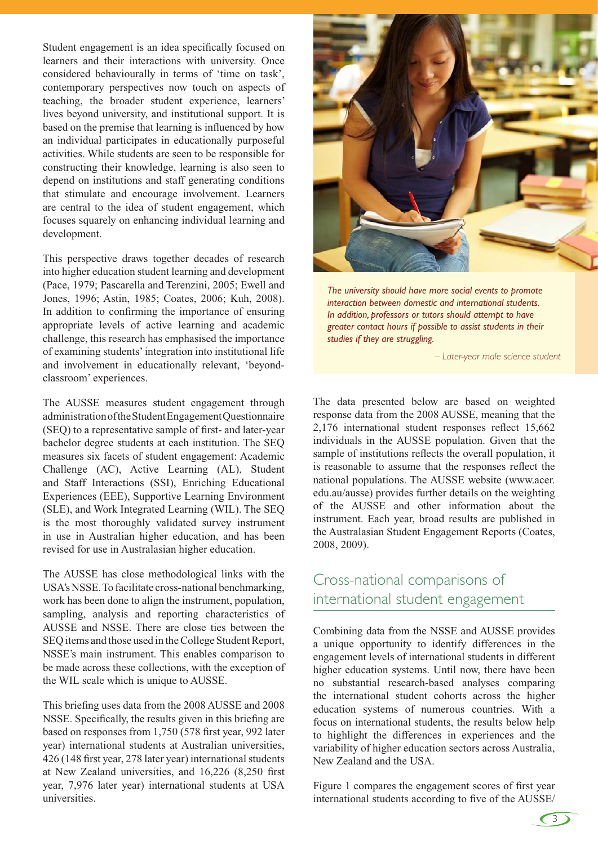Student engagement is an idea specifically focused on learners and their interactions with university. Once considered behaviourally in terms of 'time on task', contemporary perspectives now touch on aspects of teaching, the broader student experience, learners' lives beyond university, and institutional support. It is based on the premise that learning is influenced by how an individual participates in educationally purposeful activities. While students are seen to be responsible for constructing their knowledge, learning is also seen to depend on institutions and staff generating conditions that stimulate and encourage involvement. Learners are central to the idea of student engagement, which focuses squarely on enhancing individual learning and development.

This perspective draws together decades of research into higher education student learning and development (Pace, 1979; Pascarella and Terenzini, 2005; Ewell and Jones, 1996; Astin, 1985; Coates, 2006; Kuh, 2008). In addition to confirming the importance of ensuring appropriate levels of active learning and academic challenge, this research has emphasised the importance of examining students' integration into institutional life and involvement in educationally relevant, 'beyondclassroom' experiences.

The AUSSE measures student engagement through administration of the Student Engagement Questionnaire (SEQ) to a representative sample of first- and later-year bachelor degree students at each institution. The SEQ measures six facets of student engagement: Academic Challenge (AC), Active Learning (AL), Student and Staff Interactions (SSI), Enriching Educational Experiences (EEE), Supportive Learning Environment (SLE), and Work Integrated Learning (WIL). The SEQ is the most thoroughly validated survey instrument in use in Australian higher education, and has been revised for use in Australasian higher education.

The AUSSE has close methodological links with the USA's NSSE. To facilitate cross-national benchmarking, work has been done to align the instrument, population, sampling, analysis and reporting characteristics of AUSSE and NSSE. There are close ties between the SEQ items and those used in the College Student Report, NSSE's main instrument. This enables comparison to be made across these collections, with the exception of the WIL scale which is unique to AUSSE.

This briefing uses data from the 2008 AUSSE and 2008 NSSE. Specifically, the results given in this briefing are based on responses from 1,750 (578 first year, 992 later year) international students at Australian universities, 426 (148 first year, 278 later year) international students at New Zealand universities, and 16,226 (8,250 first year, 7,976 later year) international students at USA universities.



*The university should have more social events to promote interaction between domestic and international students. In addition, professors or tutors should attempt to have greater contact hours if possible to assist students in their studies if they are struggling.*

*– Later-year male science student*

The data presented below are based on weighted response data from the 2008 AUSSE, meaning that the 2,176 international student responses reflect 15,662 individuals in the AUSSE population. Given that the sample of institutions reflects the overall population, it is reasonable to assume that the responses reflect the national populations. The AUSSE website (www.acer. edu.au/ausse) provides further details on the weighting of the AUSSE and other information about the instrument. Each year, broad results are published in the Australasian Student Engagement Reports (Coates, 2008, 2009).

#### Cross-national comparisons of international student engagement

Combining data from the NSSE and AUSSE provides a unique opportunity to identify differences in the engagement levels of international students in different higher education systems. Until now, there have been no substantial research-based analyses comparing the international student cohorts across the higher education systems of numerous countries. With a focus on international students, the results below help to highlight the differences in experiences and the variability of higher education sectors across Australia, New Zealand and the USA.

Figure 1 compares the engagement scores of first year international students according to five of the AUSSE/

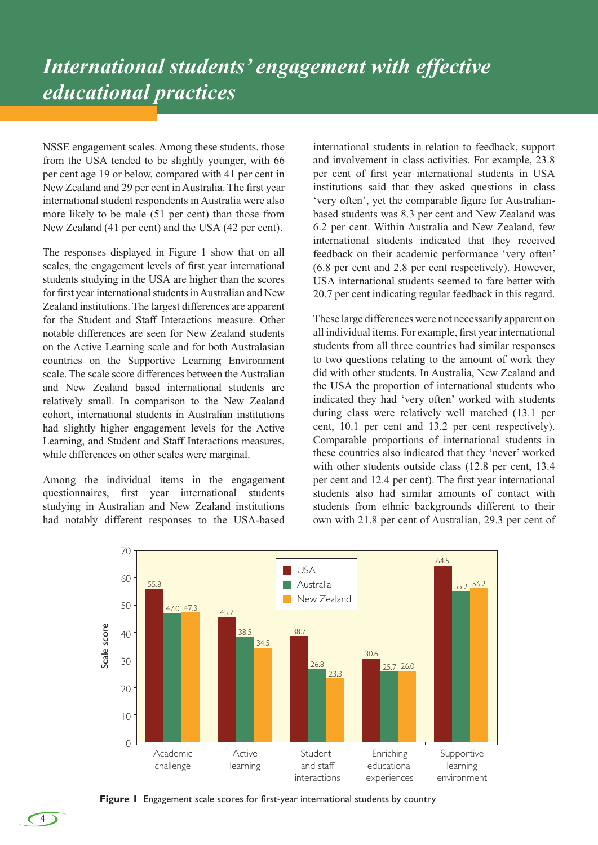NSSE engagement scales. Among these students, those from the USA tended to be slightly younger, with 66 per cent age 19 or below, compared with 41 per cent in New Zealand and 29 per cent in Australia. The first year international student respondents in Australia were also more likely to be male (51 per cent) than those from New Zealand (41 per cent) and the USA (42 per cent).

The responses displayed in Figure 1 show that on all scales, the engagement levels of first year international students studying in the USA are higher than the scores for first year international students in Australian and New Zealand institutions. The largest differences are apparent for the Student and Staff Interactions measure. Other notable differences are seen for New Zealand students on the Active Learning scale and for both Australasian countries on the Supportive Learning Environment scale. The scale score differences between the Australian and New Zealand based international students are relatively small. In comparison to the New Zealand cohort, international students in Australian institutions had slightly higher engagement levels for the Active Learning, and Student and Staff Interactions measures, while differences on other scales were marginal.

Among the individual items in the engagement questionnaires, first year international students studying in Australian and New Zealand institutions had notably different responses to the USA-based international students in relation to feedback, support and involvement in class activities. For example, 23.8 per cent of first year international students in USA institutions said that they asked questions in class 'very often', yet the comparable figure for Australianbased students was 8.3 per cent and New Zealand was 6.2 per cent. Within Australia and New Zealand, few international students indicated that they received feedback on their academic performance 'very often' (6.8 per cent and 2.8 per cent respectively). However, USA international students seemed to fare better with 20.7 per cent indicating regular feedback in this regard.

These large differences were not necessarily apparent on all individual items. For example, first year international students from all three countries had similar responses to two questions relating to the amount of work they did with other students. In Australia, New Zealand and the USA the proportion of international students who indicated they had 'very often' worked with students during class were relatively well matched (13.1 per cent, 10.1 per cent and 13.2 per cent respectively). Comparable proportions of international students in these countries also indicated that they 'never' worked with other students outside class (12.8 per cent, 13.4 per cent and 12.4 per cent). The first year international students also had similar amounts of contact with students from ethnic backgrounds different to their own with 21.8 per cent of Australian, 29.3 per cent of



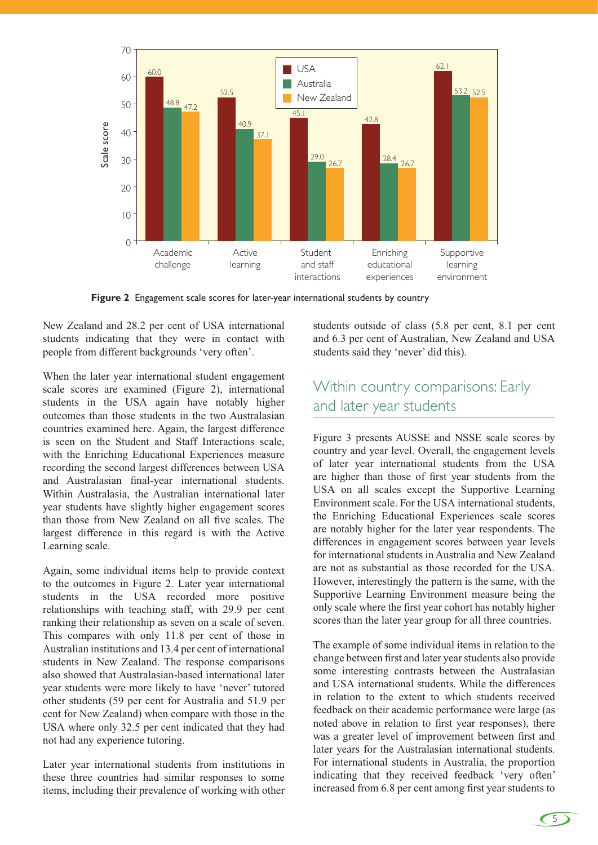

**Figure 2** Engagement scale scores for later-year international students by country

New Zealand and 28.2 per cent of USA international students indicating that they were in contact with people from different backgrounds 'very often'.

When the later year international student engagement scale scores are examined (Figure 2), international students in the USA again have notably higher outcomes than those students in the two Australasian countries examined here. Again, the largest difference is seen on the Student and Staff Interactions scale, with the Enriching Educational Experiences measure recording the second largest differences between USA and Australasian final-year international students. Within Australasia, the Australian international later year students have slightly higher engagement scores than those from New Zealand on all five scales. The largest difference in this regard is with the Active Learning scale.

Again, some individual items help to provide context to the outcomes in Figure 2. Later year international students in the USA recorded more positive relationships with teaching staff, with 29.9 per cent ranking their relationship as seven on a scale of seven. This compares with only 11.8 per cent of those in Australian institutions and 13.4 per cent of international students in New Zealand. The response comparisons also showed that Australasian-based international later year students were more likely to have 'never' tutored other students (59 per cent for Australia and 51.9 per cent for New Zealand) when compare with those in the USA where only 32.5 per cent indicated that they had not had any experience tutoring.

Later year international students from institutions in these three countries had similar responses to some items, including their prevalence of working with other students outside of class (5.8 per cent, 8.1 per cent and 6.3 per cent of Australian, New Zealand and USA students said they 'never' did this).

#### Within country comparisons: Early and later year students

Figure 3 presents AUSSE and NSSE scale scores by country and year level. Overall, the engagement levels of later year international students from the USA are higher than those of first year students from the USA on all scales except the Supportive Learning Environment scale. For the USA international students, the Enriching Educational Experiences scale scores are notably higher for the later year respondents. The differences in engagement scores between year levels for international students in Australia and New Zealand are not as substantial as those recorded for the USA. However, interestingly the pattern is the same, with the Supportive Learning Environment measure being the only scale where the first year cohort has notably higher scores than the later year group for all three countries.

The example of some individual items in relation to the change between first and later year students also provide some interesting contrasts between the Australasian and USA international students. While the differences in relation to the extent to which students received feedback on their academic performance were large (as noted above in relation to first year responses), there was a greater level of improvement between first and later years for the Australasian international students. For international students in Australia, the proportion indicating that they received feedback 'very often' increased from 6.8 per cent among first year students to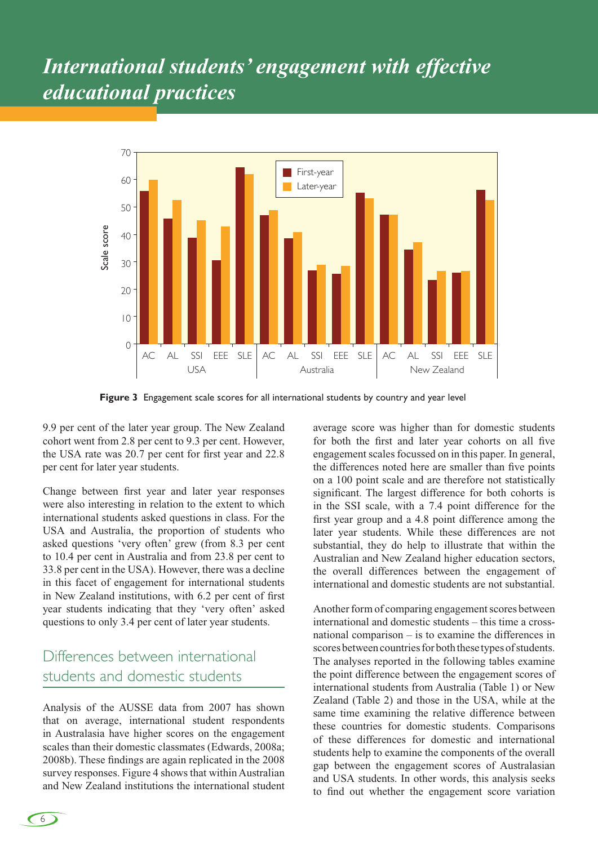## *International students' engagement with effective educational practices*



**Figure 3** Engagement scale scores for all international students by country and year level

9.9 per cent of the later year group. The New Zealand cohort went from 2.8 per cent to 9.3 per cent. However, the USA rate was 20.7 per cent for first year and 22.8 per cent for later year students.

Change between first year and later year responses were also interesting in relation to the extent to which international students asked questions in class. For the USA and Australia, the proportion of students who asked questions 'very often' grew (from 8.3 per cent to 10.4 per cent in Australia and from 23.8 per cent to 33.8 per cent in the USA). However, there was a decline in this facet of engagement for international students in New Zealand institutions, with 6.2 per cent of first year students indicating that they 'very often' asked questions to only 3.4 per cent of later year students.

#### Differences between international students and domestic students

Analysis of the AUSSE data from 2007 has shown that on average, international student respondents in Australasia have higher scores on the engagement scales than their domestic classmates (Edwards, 2008a; 2008b). These findings are again replicated in the 2008 survey responses. Figure 4 shows that within Australian and New Zealand institutions the international student average score was higher than for domestic students for both the first and later year cohorts on all five engagement scales focussed on in this paper. In general, the differences noted here are smaller than five points on a 100 point scale and are therefore not statistically significant. The largest difference for both cohorts is in the SSI scale, with a 7.4 point difference for the first year group and a 4.8 point difference among the later year students. While these differences are not substantial, they do help to illustrate that within the Australian and New Zealand higher education sectors, the overall differences between the engagement of international and domestic students are not substantial.

Another form of comparing engagement scores between international and domestic students – this time a crossnational comparison – is to examine the differences in scores between countries for both these types of students. The analyses reported in the following tables examine the point difference between the engagement scores of international students from Australia (Table 1) or New Zealand (Table 2) and those in the USA, while at the same time examining the relative difference between these countries for domestic students. Comparisons of these differences for domestic and international students help to examine the components of the overall gap between the engagement scores of Australasian and USA students. In other words, this analysis seeks to find out whether the engagement score variation

6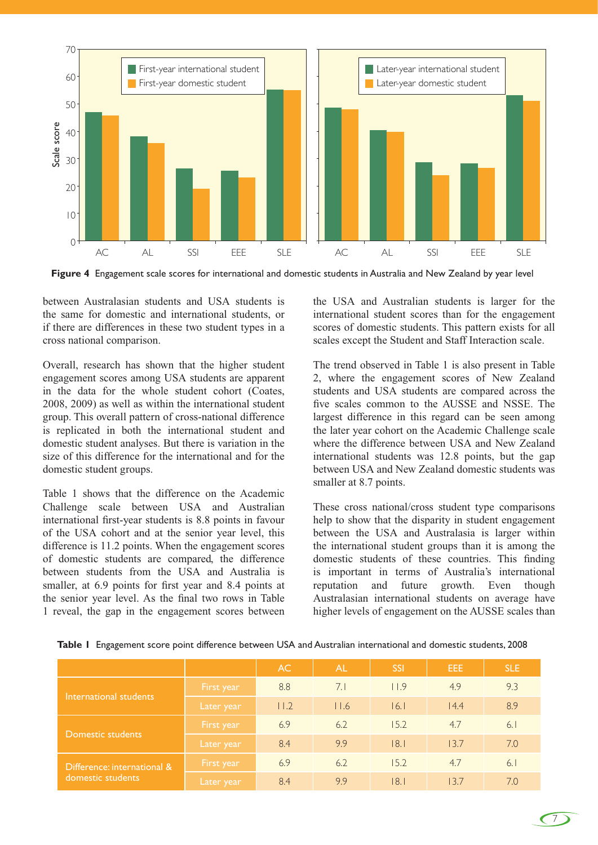

**Figure 4** Engagement scale scores for international and domestic students in Australia and New Zealand by year level

between Australasian students and USA students is the same for domestic and international students, or if there are differences in these two student types in a cross national comparison.

Overall, research has shown that the higher student engagement scores among USA students are apparent in the data for the whole student cohort (Coates, 2008, 2009) as well as within the international student group. This overall pattern of cross-national difference is replicated in both the international student and domestic student analyses. But there is variation in the size of this difference for the international and for the domestic student groups.

Table 1 shows that the difference on the Academic Challenge scale between USA and Australian international first-year students is 8.8 points in favour of the USA cohort and at the senior year level, this difference is 11.2 points. When the engagement scores of domestic students are compared, the difference between students from the USA and Australia is smaller, at 6.9 points for first year and 8.4 points at the senior year level. As the final two rows in Table 1 reveal, the gap in the engagement scores between the USA and Australian students is larger for the international student scores than for the engagement scores of domestic students. This pattern exists for all scales except the Student and Staff Interaction scale.

The trend observed in Table 1 is also present in Table 2, where the engagement scores of New Zealand students and USA students are compared across the five scales common to the AUSSE and NSSE. The largest difference in this regard can be seen among the later year cohort on the Academic Challenge scale where the difference between USA and New Zealand international students was 12.8 points, but the gap between USA and New Zealand domestic students was smaller at 8.7 points.

These cross national/cross student type comparisons help to show that the disparity in student engagement between the USA and Australasia is larger within the international student groups than it is among the domestic students of these countries. This finding is important in terms of Australia's international reputation and future growth. Even though Australasian international students on average have higher levels of engagement on the AUSSE scales than

|                                                  |            | AC.                 | <b>AL</b> | <b>SSI</b> | EEE  | <b>SLE</b> |
|--------------------------------------------------|------------|---------------------|-----------|------------|------|------------|
| International students                           | First year | 8.8                 | 7.1       | 11.9       | 4.9  | 9.3        |
|                                                  | Later year | $ $ $ $ $ $ $ $ $ $ | 11.6      | 16.1       | 14.4 | 8.9        |
| Domestic students                                | First year | 6.9                 | 6.2       | 15.2       | 4.7  | 6.1        |
|                                                  | Later year | 8.4                 | 9.9       | 8.1        | 13.7 | 7.0        |
| Difference: international &<br>domestic students | First year | 6.9                 | 6.2       | 15.2       | 4.7  | 6.1        |
|                                                  | Later year | 8.4                 | 9.9       | 8.1        | 13.7 | 7.0        |

**Table 1** Engagement score point difference between USA and Australian international and domestic students, 2008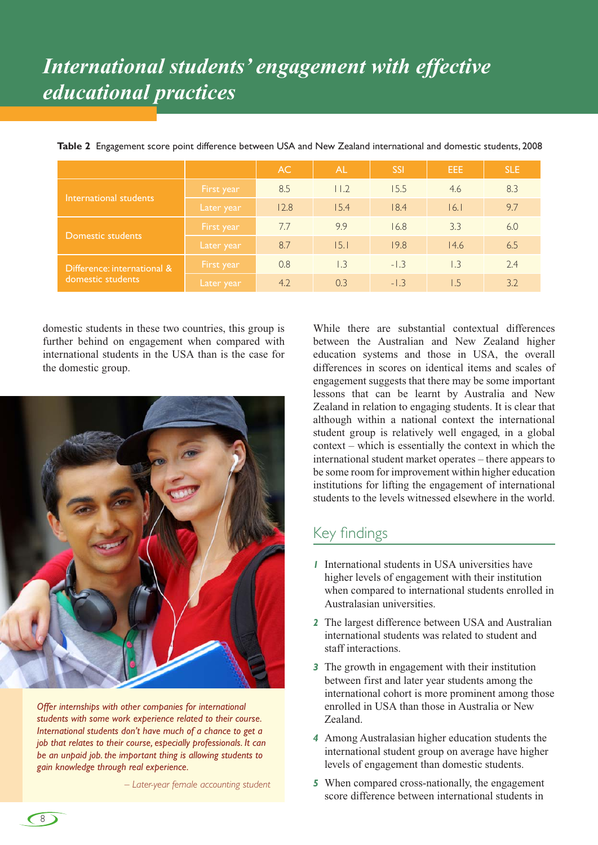# *International students' engagement with effective educational practices*

|                                                  |            | AC.  | <b>AL</b>        | <b>SSI</b> | EEE.             | <b>SLE</b> |
|--------------------------------------------------|------------|------|------------------|------------|------------------|------------|
| International students                           | First year | 8.5  | 1.2              | 15.5       | 4.6              | 8.3        |
|                                                  | Later year | 12.8 | 15.4             | 18.4       | 16.1             | 9.7        |
| Domestic students                                | First year | 7.7  | 9.9              | 16.8       | 3.3              | 6.0        |
|                                                  | Later year | 8.7  | 15.1             | 19.8       | 14.6             | 6.5        |
| Difference: international &<br>domestic students | First year | 0.8  | $\overline{1.3}$ | $-1.3$     | $\overline{1.3}$ | 2.4        |
|                                                  | Later year | 4.2  | 0.3              | $-1.3$     | 1.5              | 3.2        |

**Table 2** Engagement score point difference between USA and New Zealand international and domestic students, 2008

domestic students in these two countries, this group is further behind on engagement when compared with international students in the USA than is the case for the domestic group.



*Offer internships with other companies for international students with some work experience related to their course. International students don't have much of a chance to get a job that relates to their course, especially professionals. It can be an unpaid job. the important thing is allowing students to gain knowledge through real experience.*

*– Later-year female accounting student*

While there are substantial contextual differences between the Australian and New Zealand higher education systems and those in USA, the overall differences in scores on identical items and scales of engagement suggests that there may be some important lessons that can be learnt by Australia and New Zealand in relation to engaging students. It is clear that although within a national context the international student group is relatively well engaged, in a global context – which is essentially the context in which the international student market operates – there appears to be some room for improvement within higher education institutions for lifting the engagement of international students to the levels witnessed elsewhere in the world.

#### Key findings

- *1* International students in USA universities have higher levels of engagement with their institution when compared to international students enrolled in Australasian universities.
- *2* The largest difference between USA and Australian international students was related to student and staff interactions.
- *3* The growth in engagement with their institution between first and later year students among the international cohort is more prominent among those enrolled in USA than those in Australia or New Zealand.
- *4* Among Australasian higher education students the international student group on average have higher levels of engagement than domestic students.
- *5* When compared cross-nationally, the engagement score difference between international students in

 $\left(8\right)$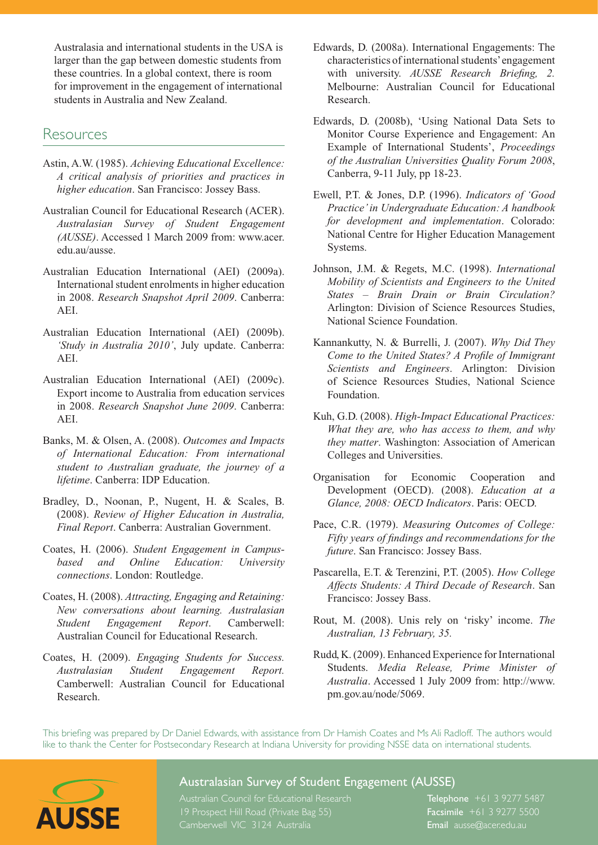Australasia and international students in the USA is larger than the gap between domestic students from these countries. In a global context, there is room for improvement in the engagement of international students in Australia and New Zealand.

#### Resources

- Astin, A.W. (1985). *Achieving Educational Excellence: A critical analysis of priorities and practices in higher education*. San Francisco: Jossey Bass.
- Australian Council for Educational Research (ACER). *Australasian Survey of Student Engagement (AUSSE)*. Accessed 1 March 2009 from: www.acer. edu.au/ausse.
- Australian Education International (AEI) (2009a). International student enrolments in higher education in 2008. *Research Snapshot April 2009*. Canberra: AEI.
- Australian Education International (AEI) (2009b). *'Study in Australia 2010'*, July update. Canberra: AEI.
- Australian Education International (AEI) (2009c). Export income to Australia from education services in 2008. *Research Snapshot June 2009*. Canberra: AEI.
- Banks, M. & Olsen, A. (2008). *Outcomes and Impacts of International Education: From international student to Australian graduate, the journey of a lifetime*. Canberra: IDP Education.
- Bradley, D., Noonan, P., Nugent, H. & Scales, B. (2008). *Review of Higher Education in Australia, Final Report*. Canberra: Australian Government.
- Coates, H. (2006). *Student Engagement in Campusbased and Online Education: University connections*. London: Routledge.
- Coates, H. (2008). *Attracting, Engaging and Retaining: New conversations about learning. Australasian Student Engagement Report*. Camberwell: Australian Council for Educational Research.
- Coates, H. (2009). *Engaging Students for Success. Australasian Student Engagement Report.*  Camberwell: Australian Council for Educational Research.
- Edwards, D. (2008a). International Engagements: The characteristics of international students' engagement with university. *AUSSE Research Briefing, 2.*  Melbourne: Australian Council for Educational Research.
- Edwards, D. (2008b), 'Using National Data Sets to Monitor Course Experience and Engagement: An Example of International Students', *Proceedings of the Australian Universities Quality Forum 2008*, Canberra, 9-11 July, pp 18-23.
- Ewell, P.T. & Jones, D.P. (1996). *Indicators of 'Good Practice' in Undergraduate Education: A handbook for development and implementation*. Colorado: National Centre for Higher Education Management Systems.
- Johnson, J.M. & Regets, M.C. (1998). *International Mobility of Scientists and Engineers to the United States – Brain Drain or Brain Circulation?* Arlington: Division of Science Resources Studies, National Science Foundation.
- Kannankutty, N. & Burrelli, J. (2007). *Why Did They Come to the United States? A Profile of Immigrant Scientists and Engineers*. Arlington: Division of Science Resources Studies, National Science Foundation.
- Kuh, G.D. (2008). *High-Impact Educational Practices: What they are, who has access to them, and why they matter*. Washington: Association of American Colleges and Universities.
- Organisation for Economic Cooperation and Development (OECD). (2008). *Education at a Glance, 2008: OECD Indicators*. Paris: OECD.
- Pace, C.R. (1979). *Measuring Outcomes of College: Fifty years of findings and recommendations for the future*. San Francisco: Jossey Bass.
- Pascarella, E.T. & Terenzini, P.T. (2005). *How College Affects Students: A Third Decade of Research*. San Francisco: Jossey Bass.
- Rout, M. (2008). Unis rely on 'risky' income. *The Australian, 13 February, 35.*
- Rudd, K. (2009). Enhanced Experience for International Students. *Media Release, Prime Minister of Australia*. Accessed 1 July 2009 from: http://www. pm.gov.au/node/5069.

This briefing was prepared by Dr Daniel Edwards, with assistance from Dr Hamish Coates and Ms Ali Radloff. The authors would like to thank the Center for Postsecondary Research at Indiana University for providing NSSE data on international students.



#### Australasian Survey of Student Engagement (AUSSE)

**19 Prospect Hill Road (Private Bag 55)** Facsimile +61 3 9277 5500 **AUSSE** Camberwell VIC 3124 Australia Email ausse@acer.edu.au

Australian Council for Educational Research Telephone +61 3 9277 5487